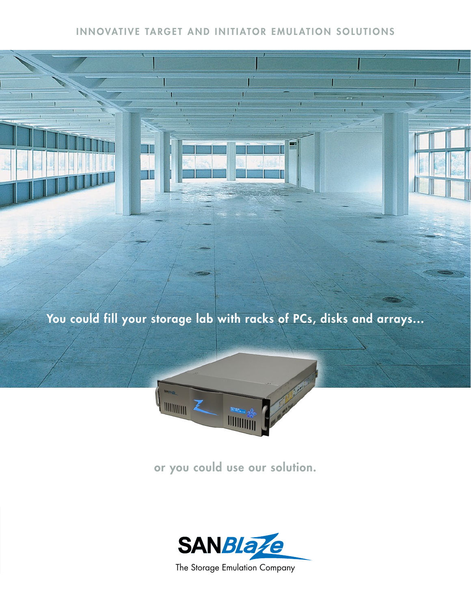## INNOVATIVE TARGET AND INITIATOR EMULATION SOLUTIONS

ī

You could fill your storage lab with racks of PCs, disks and arrays...



or you could use our solution.

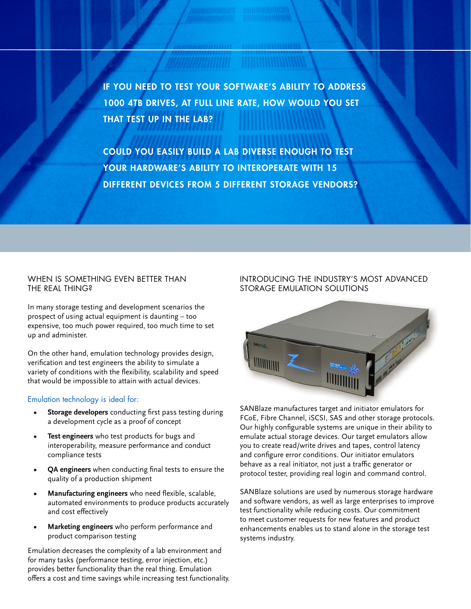IF YOU NEED TO TEST YOUR SOFTWARE'S ABILITY TO ADDRESS 1000 4TB DRIVES, AT FULL LINE RATE, HOW WOULD YOU SET THAT TEST UP IN THE LAB?

COULD YOU EASILY BUILD A LAB DIVERSE ENOUGH TO TEST YOUR HARDWARE'S ABILITY TO INTEROPERATE WITH 15 DIFFERENT DEVICES FROM 5 DIFFERENT STORAGE VENDORS?

#### WHEN IS SOMETHING EVEN BETTER THAN THE REAL THING?

In many storage testing and development scenarios the prospect of using actual equipment is daunting – too expensive, too much power required, too much time to set up and administer.

On the other hand, emulation technology provides design, verification and test engineers the ability to simulate a variety of conditions with the flexibility, scalability and speed that would be impossible to attain with actual devices.

#### Emulation technology is ideal for:

- **Storage developers** conducting first pass testing during a development cycle as a proof of concept
- **Test engineers** who test products for bugs and interoperability, measure performance and conduct compliance tests
- **QA engineers** when conducting final tests to ensure the quality of a production shipment
- **Manufacturing engineers** who need flexible, scalable, automated environments to produce products accurately and cost effectively
- **Marketing engineers** who perform performance and product comparison testing

Emulation decreases the complexity of a lab environment and for many tasks (performance testing, error injection, etc.) provides better functionality than the real thing. Emulation offers a cost and time savings while increasing test functionality.

#### INTRODUCING THE INDUSTRY'S MOST ADVANCED STORAGE EMULATION SOLUTIONS



SANBlaze manufactures target and initiator emulators for FCoE, Fibre Channel, iSCSI, SAS and other storage protocols. Our highly configurable systems are unique in their ability to emulate actual storage devices. Our target emulators allow you to create read/write drives and tapes, control latency and configure error conditions. Our initiator emulators behave as a real initiator, not just a traffic generator or protocol tester, providing real login and command control.

SANBlaze solutions are used by numerous storage hardware and software vendors, as well as large enterprises to improve test functionality while reducing costs. Our commitment to meet customer requests for new features and product enhancements enables us to stand alone in the storage test systems industry.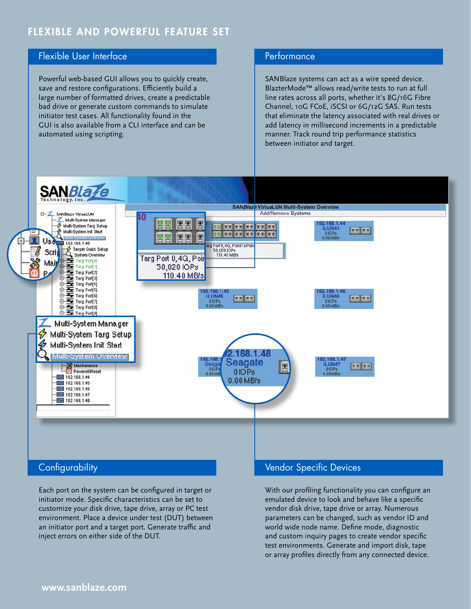# FLEXIBLE AND POWERFUL FEATURE SET

## Flexible User Interface

Powerful web-based GUI allows you to quickly create, save and restore configurations. Efficiently build a large number of formatted drives, create a predictable bad drive or generate custom commands to simulate initiator test cases. All functionality found in the GUI is also available from a CLI interface and can be automated using scripting.

### **Performance**

SANBlaze systems can act as a wire speed device. BlazterMode™ allows read/write tests to run at full line rates across all ports, whether it's 8G/16G Fibre Channel, 10G FCoE, iSCSI or 6G/12G SAS. Run tests that eliminate the latency associated with real drives or add latency in millisecond increments in a predictable manner. Track round trip performance statistics between initiator and target.



## **Configurability**

Each port on the system can be configured in target or initiator mode. Specific characteristics can be set to customize your disk drive, tape drive, array or PC test environment. Place a device under test (DUT) between an initiator port and a target port. Generate traffic and inject errors on either side of the DUT.

### Vendor Specific Devices

With our profiling functionality you can configure an emulated device to look and behave like a specific vendor disk drive, tape drive or array. Numerous parameters can be changed, such as vendor ID and world wide node name. Define mode, diagnostic and custom inquiry pages to create vendor specific test environments. Generate and import disk, tape or array profiles directly from any connected device.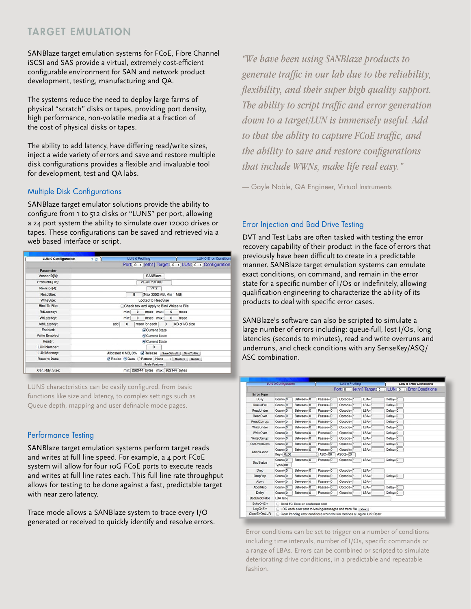# TARGET EMULATION

SANBlaze target emulation systems for FCoE, Fibre Channel iSCSI and SAS provide a virtual, extremely cost-efficient configurable environment for SAN and network product development, testing, manufacturing and QA.

The systems reduce the need to deploy large farms of physical "scratch" disks or tapes, providing port density, high performance, non-volatile media at a fraction of the cost of physical disks or tapes.

The ability to add latency, have differing read/write sizes, inject a wide variety of errors and save and restore multiple disk configurations provides a flexible and invaluable tool for development, test and QA labs.

#### Multiple Disk Configurations

SANBlaze target emulator solutions provide the ability to configure from 1 to 512 disks or "LUNS" per port, allowing a 24 port system the ability to simulate over 12000 drives or tapes. These configurations can be saved and retrieved via a web based interface or script.



LUNS characteristics can be easily configured, from basic functions like size and latency, to complex settings such as Queue depth, mapping and user definable mode pages.

#### Performance Testing

SANBlaze target emulation systems perform target reads and writes at full line speed. For example, a 4 port FCoE system will allow for four 10G FCoE ports to execute reads and writes at full line rates each. This full line rate throughput allows for testing to be done against a fast, predictable target with near zero latency.

Trace mode allows a SANBlaze system to trace every I/O generated or received to quickly identify and resolve errors.

*"We have been using SANBlaze products to generate traffic in our lab due to the reliability, flexibility, and their super high quality support. The ability to script traffic and error generation* down to a target/LUN is immensely useful. Add *to that the ablity to capture FCoE traffic, and the ability to save and restore configurations that include WWNs, make life real easy.*"

— Gayle Noble, QA Engineer, Virtual Instruments

#### Error Injection and Bad Drive Testing

DVT and Test Labs are often tasked with testing the error recovery capability of their product in the face of errors that previously have been difficult to create in a predictable manner. SANBlaze target emulation systems can emulate exact conditions, on command, and remain in the error state for a specific number of I/Os or indefinitely, allowing qualification engineering to characterize the ability of its products to deal with specific error cases.

SANBlaze's software can also be scripted to simulate a large number of errors including: queue-full, lost I/Os, long latencies (seconds to minutes), read and write overruns and underruns, and check conditions with any SenseKey/ASQ/ ASC combination.

| <b>LUN 0 Configuration</b> |                                                                             |                                      | <b>LUN 0 Profiling</b> |                            |                      |             | <b>LUN 0 Error Conditions</b> |  |  |
|----------------------------|-----------------------------------------------------------------------------|--------------------------------------|------------------------|----------------------------|----------------------|-------------|-------------------------------|--|--|
|                            |                                                                             |                                      |                        | Port: 0 : [eth1] Target: 0 |                      |             | : LUN: 0 : Error Conditions   |  |  |
| <b>Error Type</b>          |                                                                             |                                      |                        |                            |                      |             |                               |  |  |
| <b>Busy</b>                | $Count = 0$                                                                 | Between=0                            | Passes=0               | $Opcode="$                 | $LBA =$              | $Delay = 0$ |                               |  |  |
| QueueFull                  | $Count = 0$                                                                 | Between=0                            | Passes=0               | Opcode="                   | $LBA =$              | $Delay = 0$ |                               |  |  |
| ReadUnder                  | Count=0                                                                     | Between=0                            | Passes=0               | Opcode=                    | $LBA =$              | $Delay = 0$ |                               |  |  |
| ReadOver                   | $Count = 0$                                                                 | Between=10                           | Passes=0               | $Opcode="$                 | $LBA =$              | $Delav = 0$ |                               |  |  |
| ReadCorrupt                | Count=0                                                                     | Between=0                            | $Pases = 0$            | $Opcode="$                 | $LBA =$              | $Delav = 0$ |                               |  |  |
| WriteUnder                 | $Count = 0$                                                                 | Between=0                            | Passes=0               | Opcode="                   | $LBA =$              | Delay=0     |                               |  |  |
| WriteOver                  | $Count = 0$                                                                 | Between=10                           | Passes=0               | $Opcode="$                 | $LBA =$              | $Delay = 0$ |                               |  |  |
| <b>WriteCorrupt</b>        | $Count = 0$                                                                 | Between=0                            | Passes=0               | Opcode="                   | $LBA =$              | Delay=0     |                               |  |  |
| OutOrderData               | $Count = 0$                                                                 | Between=0                            | Passes=0               | $Opcode='$                 | $LBA =$              | $Delay = 0$ |                               |  |  |
| CheckCond                  | Count=0                                                                     | Between=0                            | Passes=0               | Opcode="                   | LBA <sub>n</sub> *   | Delay=0     |                               |  |  |
|                            |                                                                             | Key= 0x00<br>$ABC=00$<br>$ASCO = 00$ |                        |                            |                      |             |                               |  |  |
| <b>BadStatus</b>           | $Count = 0$                                                                 | Between=0                            | Passes=0               | Opcode="                   | $LBA =$              | $Delay = 0$ |                               |  |  |
|                            | $Type = 00$                                                                 |                                      |                        |                            |                      |             |                               |  |  |
| Drop                       | Count=0                                                                     | Between=0                            | Passes=0               | $Opcode="$                 | $LBA =$              |             |                               |  |  |
| DropRsp                    | Count=0                                                                     | Between=0                            | Passes=0               | Opcode="                   | $LBA =$              | $Delay = 0$ |                               |  |  |
| Abort                      | Count=0                                                                     | Between=0                            | Passes=0               | $Opcode="$                 | $LBA =$              |             |                               |  |  |
| <b>AbortRsp</b>            | Count=0                                                                     | Between=0                            | Passes=0               | $Opcode="$                 | $LBA =$              | Delay=0     |                               |  |  |
| Delay                      | $Count = 0$                                                                 | Between=0                            | Passes=0               | $Opcode="$                 | $LBA =$ <sup>*</sup> | Delay=0     |                               |  |  |
| <b>BadBlockTable</b>       | LBA list=                                                                   |                                      |                        |                            |                      |             |                               |  |  |
| <b>EchoOnErr</b>           | Send FC Echo on each error sent                                             |                                      |                        |                            |                      |             |                               |  |  |
| LogOnErr                   | C LOG each error sent to /var/log/messages and trace file<br>View           |                                      |                        |                            |                      |             |                               |  |  |
| ClearErrOnLUR              | □ Clear Pending error conditions when the lun receives a Logical Unit Reset |                                      |                        |                            |                      |             |                               |  |  |

Error conditions can be set to trigger on a number of conditions including time intervals, number of I/Os, specific commands or a range of LBAs. Errors can be combined or scripted to simulate deteriorating drive conditions, in a predictable and repeatable fashion.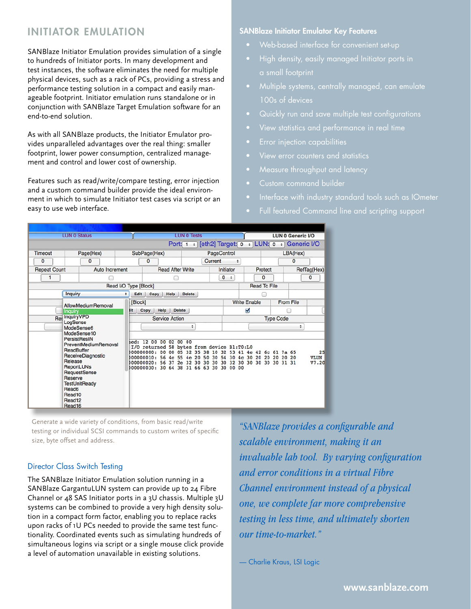# INITIATOR EMULATION

SANBlaze Initiator Emulation provides simulation of a single to hundreds of Initiator ports. In many development and test instances, the software eliminates the need for multiple physical devices, such as a rack of PCs, providing a stress and performance testing solution in a compact and easily manageable footprint. Initiator emulation runs standalone or in conjunction with SANBlaze Target Emulation software for an end-to-end solution.

As with all SANBlaze products, the Initiator Emulator provides unparalleled advantages over the real thing: smaller footprint, lower power consumption, centralized management and control and lower cost of ownership.

Features such as read/write/compare testing, error injection and a custom command builder provide the ideal environment in which to simulate Initiator test cases via script or an easy to use web interface.

#### SANBlaze Initiator Emulator Key Features

- 
- High density, easily managed Initiator ports in
- Multiple systems, centrally managed, can emulate 100s of devices
- 
- 
- Error injection capabilities
- 
- Measure throughput and latency
- Custom command builder
- 
- Full featured Command line and scripting support

| <b>LUN 0 Status</b>                   |                                                                                                                                                                                                                                                                                                      |                       | <b>LUN 0 Tests</b>                                                                                                                                               |                                                                                                                                                                |             |                      | <b>LUN 0 Generic VO</b> |              |             |                            |
|---------------------------------------|------------------------------------------------------------------------------------------------------------------------------------------------------------------------------------------------------------------------------------------------------------------------------------------------------|-----------------------|------------------------------------------------------------------------------------------------------------------------------------------------------------------|----------------------------------------------------------------------------------------------------------------------------------------------------------------|-------------|----------------------|-------------------------|--------------|-------------|----------------------------|
|                                       |                                                                                                                                                                                                                                                                                                      |                       |                                                                                                                                                                  | Port: 1 : [eth2] Target: 0                                                                                                                                     |             |                      | LUN: 0 :<br>$\div$      |              | Generic I/O |                            |
| Timeout<br>Page(Hex)                  |                                                                                                                                                                                                                                                                                                      |                       | PageControl<br>SubPage(Hex)                                                                                                                                      |                                                                                                                                                                |             |                      |                         |              | LBA(Hex)    |                            |
| $\mathbf 0$                           | $\mathbf{0}$                                                                                                                                                                                                                                                                                         |                       | Current<br>$\mathbf{0}$                                                                                                                                          |                                                                                                                                                                |             | ٠                    |                         | $\mathbf{0}$ |             |                            |
| Auto Increment<br><b>Repeat Count</b> |                                                                                                                                                                                                                                                                                                      |                       | <b>Read After Write</b>                                                                                                                                          |                                                                                                                                                                |             | Initiator            |                         | Protect      |             | RefTag(Hex)                |
|                                       |                                                                                                                                                                                                                                                                                                      |                       |                                                                                                                                                                  |                                                                                                                                                                | $\mathbf 0$ | $\ddot{\phantom{1}}$ | 0                       |              |             | $\mathbf 0$                |
|                                       |                                                                                                                                                                                                                                                                                                      | Read I/O Type [Block] |                                                                                                                                                                  |                                                                                                                                                                |             |                      | <b>Read To File</b>     |              |             |                            |
|                                       | <b>Inquiry</b>                                                                                                                                                                                                                                                                                       | $\div$                | <b>Delete</b><br>Edit<br>Help<br>Copy                                                                                                                            |                                                                                                                                                                |             |                      |                         |              |             |                            |
|                                       | AllowMediumRemoval<br>Inquiry<br>Ret InquiryVPD<br>LogSense<br>ModeSense6<br>ModeSense10<br>PersistResIN<br>PreventMediumRemoval<br><b>ReadBuffer</b><br>ReceiveDiagnostic<br>Release<br><b>ReportLUNs</b><br>RequestSense<br>Reserve<br><b>TestUnitReady</b><br>Read6<br>Read10<br>Read12<br>Read16 |                       | [Block]                                                                                                                                                          |                                                                                                                                                                |             |                      | <b>Write Enable</b>     |              | From File   |                            |
|                                       |                                                                                                                                                                                                                                                                                                      |                       | Help<br><b>Delete</b><br><b>Sit</b><br>Copy                                                                                                                      |                                                                                                                                                                |             | Ø                    |                         |              |             |                            |
|                                       |                                                                                                                                                                                                                                                                                                      |                       | <b>Service Action</b>                                                                                                                                            |                                                                                                                                                                |             |                      | <b>Type Code</b>        |              |             |                            |
|                                       |                                                                                                                                                                                                                                                                                                      |                       | ٠                                                                                                                                                                |                                                                                                                                                                |             |                      | ٠                       |              |             |                            |
|                                       |                                                                                                                                                                                                                                                                                                      |                       | 12 00 00 02 00 00<br>hed:<br>I/O returned 58 bytes from device Bl:T0:L0<br>000000000: 00<br>0 <sup>0</sup><br>bo0000010:<br>56<br>56<br>b00000020:<br>b00000030: | 05 32 35 38 10 32 53 41 4e 42 6c 61 7a 65<br>4c 55 4e 20 50 30 54 30 4c 30 20 20 20 20 20<br>37 2e 32 30 30 30 30 32 30 30 30 30 30 31 31<br>30 64 38 31 66 63 | 30 30       | 00 00                |                         |              |             | 25<br><b>VLUN</b><br>V7.20 |

Generate a wide variety of conditions, from basic read/write testing or individual SCSI commands to custom writes of specific size, byte offset and address.

#### Director Class Switch Testing

The SANBlaze Initiator Emulation solution running in a SANBlaze GargantuLUN system can provide up to 24 Fibre Channel or 48 SAS Initiator ports in a 3U chassis. Multiple 3U systems can be combined to provide a very high density solution in a compact form factor, enabling you to replace racks upon racks of 1U PCs needed to provide the same test functionality. Coordinated events such as simulating hundreds of simultaneous logins via script or a single mouse click provide a level of automation unavailable in existing solutions.

*<sup>o</sup>SANBlaze provides a configurable and scalable environment, making it an invaluable lab tool. By varying configuration and error conditions in a virtual Fibre Channel environment instead of a physical One, we complete far more comprehensive testing in less time, and ultimately sborten <u>Our time-to-market.</u>* 

— Charlie Kraus, LSI Logic